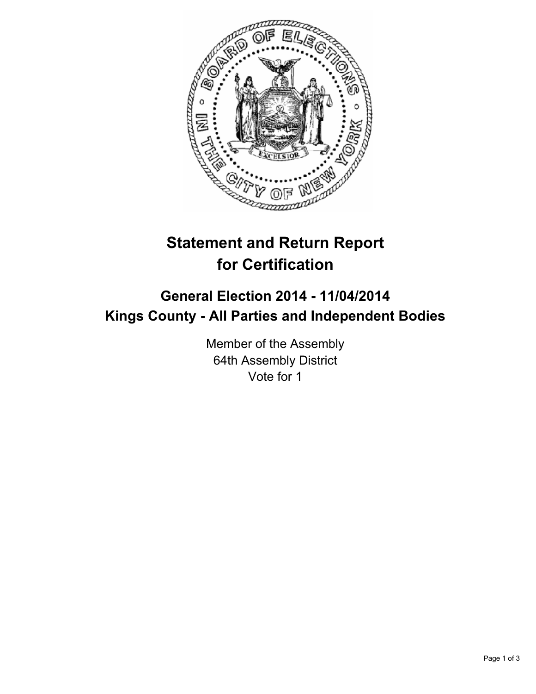

## **Statement and Return Report for Certification**

## **General Election 2014 - 11/04/2014 Kings County - All Parties and Independent Bodies**

Member of the Assembly 64th Assembly District Vote for 1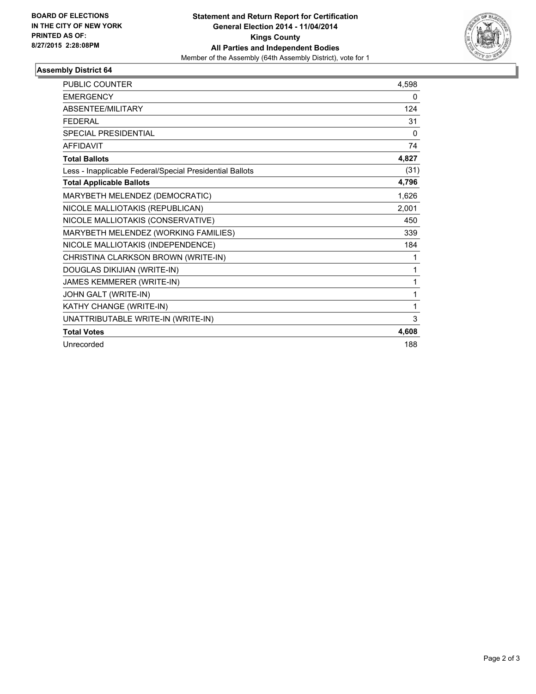

## **Assembly District 64**

| <b>PUBLIC COUNTER</b>                                    | 4,598        |
|----------------------------------------------------------|--------------|
| <b>EMERGENCY</b>                                         | 0            |
| ABSENTEE/MILITARY                                        | 124          |
| <b>FEDERAL</b>                                           | 31           |
| <b>SPECIAL PRESIDENTIAL</b>                              | $\mathbf{0}$ |
| <b>AFFIDAVIT</b>                                         | 74           |
| <b>Total Ballots</b>                                     | 4,827        |
| Less - Inapplicable Federal/Special Presidential Ballots | (31)         |
| <b>Total Applicable Ballots</b>                          | 4,796        |
| MARYBETH MELENDEZ (DEMOCRATIC)                           | 1,626        |
| NICOLE MALLIOTAKIS (REPUBLICAN)                          | 2,001        |
| NICOLE MALLIOTAKIS (CONSERVATIVE)                        | 450          |
| MARYBETH MELENDEZ (WORKING FAMILIES)                     | 339          |
| NICOLE MALLIOTAKIS (INDEPENDENCE)                        | 184          |
| CHRISTINA CLARKSON BROWN (WRITE-IN)                      | 1            |
| DOUGLAS DIKIJIAN (WRITE-IN)                              | 1            |
| JAMES KEMMERER (WRITE-IN)                                | 1            |
| JOHN GALT (WRITE-IN)                                     | 1            |
| KATHY CHANGE (WRITE-IN)                                  | 1            |
| UNATTRIBUTABLE WRITE-IN (WRITE-IN)                       | 3            |
| <b>Total Votes</b>                                       | 4.608        |
| Unrecorded                                               | 188          |